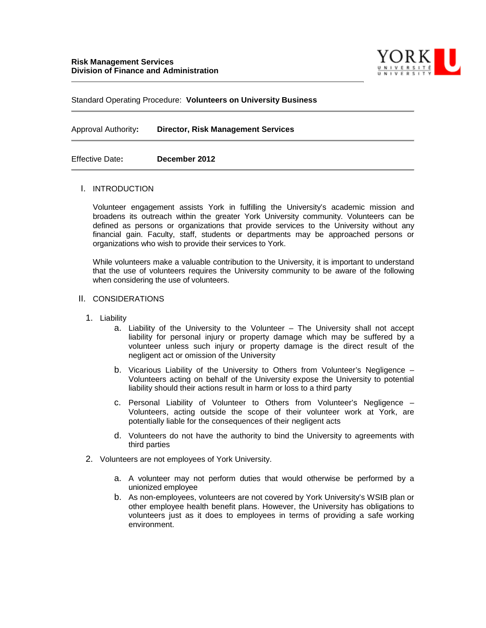

Standard Operating Procedure: **Volunteers on University Business**

Approval Authority**: Director, Risk Management Services**

Effective Date**: December 2012**

#### I. INTRODUCTION

Volunteer engagement assists York in fulfilling the University's academic mission and broadens its outreach within the greater York University community. Volunteers can be defined as persons or organizations that provide services to the University without any financial gain. Faculty, staff, students or departments may be approached persons or organizations who wish to provide their services to York.

While volunteers make a valuable contribution to the University, it is important to understand that the use of volunteers requires the University community to be aware of the following when considering the use of volunteers.

#### II. CONSIDERATIONS

- 1. Liability
	- a. Liability of the University to the Volunteer The University shall not accept liability for personal injury or property damage which may be suffered by a volunteer unless such injury or property damage is the direct result of the negligent act or omission of the University
	- b. Vicarious Liability of the University to Others from Volunteer's Negligence Volunteers acting on behalf of the University expose the University to potential liability should their actions result in harm or loss to a third party
	- c. Personal Liability of Volunteer to Others from Volunteer's Negligence Volunteers, acting outside the scope of their volunteer work at York, are potentially liable for the consequences of their negligent acts
	- d. Volunteers do not have the authority to bind the University to agreements with third parties
- 2. Volunteers are not employees of York University.
	- a. A volunteer may not perform duties that would otherwise be performed by a unionized employee
	- b. As non-employees, volunteers are not covered by York University's WSIB plan or other employee health benefit plans. However, the University has obligations to volunteers just as it does to employees in terms of providing a safe working environment.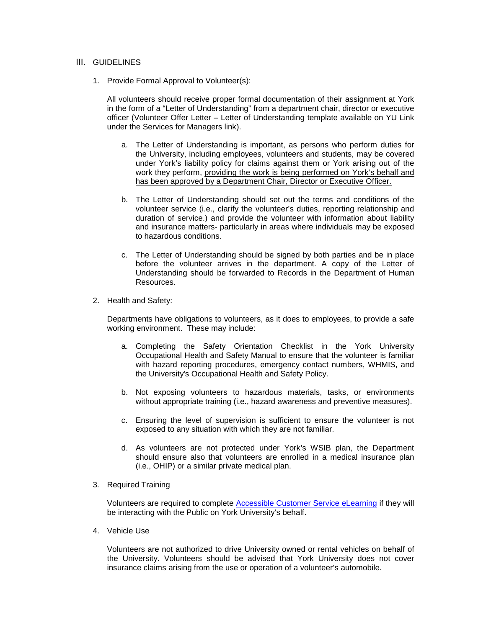## III. GUIDELINES

1. Provide Formal Approval to Volunteer(s):

All volunteers should receive proper formal documentation of their assignment at York in the form of a "Letter of Understanding" from a department chair, director or executive officer (Volunteer Offer Letter – Letter of Understanding template available on YU Link under the Services for Managers link).

- a. The Letter of Understanding is important, as persons who perform duties for the University, including employees, volunteers and students, may be covered under York's liability policy for claims against them or York arising out of the work they perform, providing the work is being performed on York's behalf and has been approved by a Department Chair, Director or Executive Officer.
- b. The Letter of Understanding should set out the terms and conditions of the volunteer service (i.e., clarify the volunteer's duties, reporting relationship and duration of service.) and provide the volunteer with information about liability and insurance matters- particularly in areas where individuals may be exposed to hazardous conditions.
- c. The Letter of Understanding should be signed by both parties and be in place before the volunteer arrives in the department. A copy of the Letter of Understanding should be forwarded to Records in the Department of Human Resources.
- 2. Health and Safety:

Departments have obligations to volunteers, as it does to employees, to provide a safe working environment. These may include:

- a. Completing the Safety Orientation Checklist in the York University Occupational Health and Safety Manual to ensure that the volunteer is familiar with hazard reporting procedures, emergency contact numbers, WHMIS, and the University's Occupational Health and Safety Policy.
- b. Not exposing volunteers to hazardous materials, tasks, or environments without appropriate training (i.e., hazard awareness and preventive measures).
- c. Ensuring the level of supervision is sufficient to ensure the volunteer is not exposed to any situation with which they are not familiar.
- d. As volunteers are not protected under York's WSIB plan, the Department should ensure also that volunteers are enrolled in a medical insurance plan (i.e., OHIP) or a similar private medical plan.
- 3. Required Training

Volunteers are required to complete [Accessible Customer Service eLearning](http://aoda.yorku.ca/cs/) if they will be interacting with the Public on York University's behalf.

4. Vehicle Use

Volunteers are not authorized to drive University owned or rental vehicles on behalf of the University. Volunteers should be advised that York University does not cover insurance claims arising from the use or operation of a volunteer's automobile.